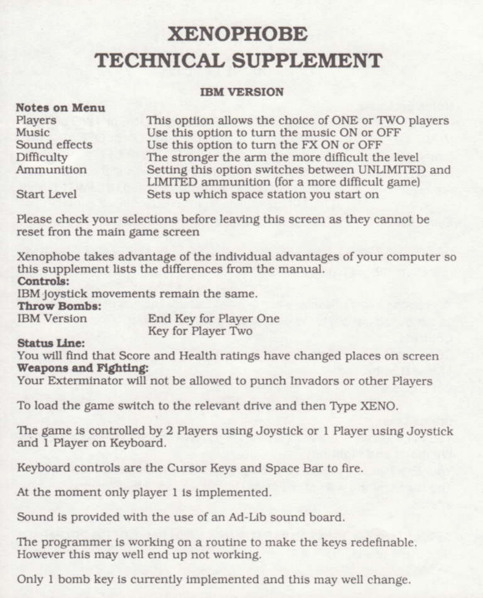# **XENOPHOBE TECHNICAL SUPPLEMENT**

#### **IRM VERSION**

#### Notes on Menu

Players Music Sound effects Difficulty Ammunition

This optiion allows the choice of ONE or TWO players Use this option to turn the music ON or OFF Use this option to turn the FX ON or OFF The stronger the arm the more difficult the level Setting this option switches between UNLIMITED and LIMITED ammunition (for a more difficult game) Sets up which space station you start on

Start Level

Please check your selections before leaving this screen as they cannot be reset fron the main game screen

Xenophobe takes advantage of the individual advantages of your computer so this supplement lists the differences from the manual. Controls:

IBM joystick movements remain the same.

#### Throw Bombs:

**IBM** Version

End Key for Player One Key for Player Two

#### **Status Line:**

You will find that Score and Health ratings have changed places on screen Weapons and Fighting:

Your Exterminator will not be allowed to punch Invadors or other Players

To load the game switch to the relevant drive and then Type XENO.

The game is controlled by 2 Players using Joystick or 1 Player using Joystick and 1 Player on Keyboard.

Keyboard controls are the Cursor Keys and Space Bar to fire.

At the moment only player 1 is implemented.

Sound is provided with the use of an Ad-Lib sound board.

The programmer is working on a routine to make the keys redefinable. However this may well end up not working.

Only 1 bomb key is currently implemented and this may well change.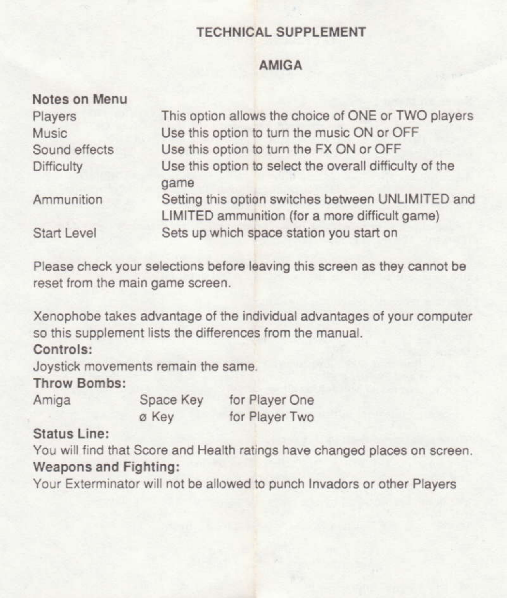### **AMIGA**

| Notes on Menu      |                                                                                                      |
|--------------------|------------------------------------------------------------------------------------------------------|
| Players            | This option allows the choice of ONE or TWO players                                                  |
| Music              | Use this option to turn the music ON or OFF                                                          |
| Sound effects      | Use this option to turn the FX ON or OFF                                                             |
| <b>Difficulty</b>  | Use this option to select the overall difficulty of the<br>game                                      |
| Ammunition         | Setting this option switches between UNLIMITED and<br>LIMITED ammunition (for a more difficult game) |
| <b>Start Level</b> | Sets up which space station you start on                                                             |

Please check your selections before leaving this screen as they cannot be reset from the main game screen.

Xenophobe takes advantage of the individual advantages of your computer so this supplement lists the differences from the manual.

#### Controls:

Joystick movements remain the same.

### Throw Rombe:

Amiga

Space Key ø Kev

for Player One for Player Two

# Status Line:

You will find that Score and Health ratings have changed places on screen. Weapons and Fighting:

Your Exterminator will not be allowed to punch Invadors or other Players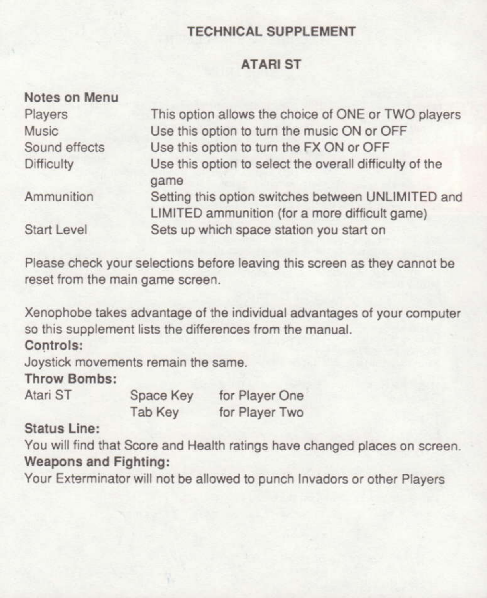### **ATARIST**

| Notes on Menu      |                                                                                                      |
|--------------------|------------------------------------------------------------------------------------------------------|
| Players            | This option allows the choice of ONE or TWO players                                                  |
| <b>Music</b>       | Use this option to turn the music ON or OFF                                                          |
| Sound effects      | Use this option to turn the FX ON or OFF                                                             |
| <b>Difficulty</b>  | Use this option to select the overall difficulty of the<br>game                                      |
| Ammunition         | Setting this option switches between UNLIMITED and<br>LIMITED ammunition (for a more difficult game) |
| <b>Start Level</b> | Sets up which space station you start on                                                             |

Please check your selections before leaving this screen as they cannot be reset from the main game screen.

Xenophobe takes advantage of the individual advantages of your computer so this supplement lists the differences from the manual.

### Controls:

Joystick movements remain the same.

# **Throw Bombs:**

Atari ST

Space Key Tab Key

for Player One for Player Two

# **Status Line:**

You will find that Score and Health ratings have changed places on screen. **Weapons and Fighting:** 

Your Exterminator will not be allowed to punch Invadors or other Players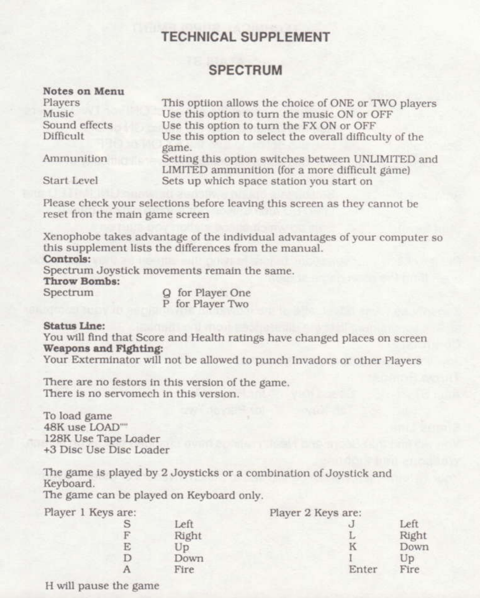#### **SPECTRUM**

| <i>ivotes</i> on <i>menu</i><br>Players | This optiion allows the choice of ONE or TWO players                                                 |
|-----------------------------------------|------------------------------------------------------------------------------------------------------|
| Music                                   | Use this option to turn the music ON or OFF                                                          |
| Sound effects                           | Use this option to turn the FX ON or OFF                                                             |
| Difficult                               | Use this option to select the overall difficulty of the<br>game.                                     |
| Ammunition                              | Setting this option switches between UNLIMITED and<br>LIMITED ammunition (for a more difficult game) |
| Start Level                             | Sets up which space station you start on                                                             |

Please check your selections before leaving this screen as they cannot be reset fron the main game screen

Xenophobe takes advantage of the individual advantages of your computer so this supplement lists the differences from the manual.

#### Controls:

**MY ALL STATE** 

Spectrum Joystick movements remain the same. Throw Bombs:

Spectrum

Q for Player One P for Player Two

#### Status Line:

You will find that Score and Health ratings have changed places on screen Weapons and Fighting:

Your Exterminator will not be allowed to punch Invadors or other Players

There are no festors in this version of the game. There is no servomech in this version.

To load game 48K use LOAD"" 128K Use Tape Loader +3 Disc Use Disc Loader

The game is played by 2 Joysticks or a combination of Joystick and Keyboard.

The game can be played on Keyboard only.

S F E  $\mathbf{D}$  $\Delta$ 

| Player 1 Keys are: |
|--------------------|
|                    |

|       | Player 2 Keys are: |       |
|-------|--------------------|-------|
| Left  |                    | Left  |
| Right | L                  | Right |
| Up    | к                  | Down  |
| Down  |                    | Up    |
| Fire  | Enter              | Fire  |

H will pause the game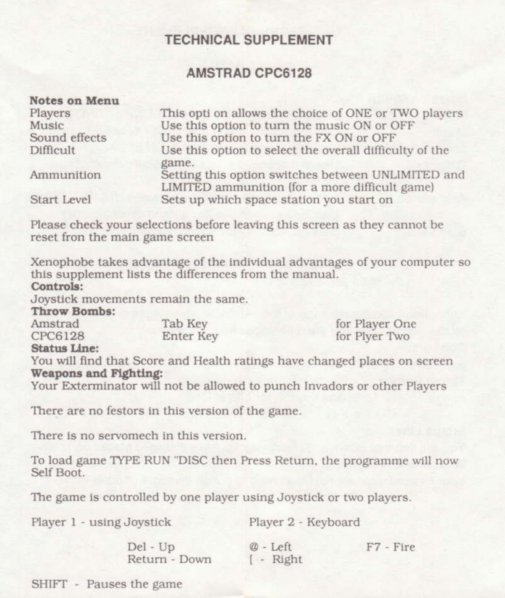#### **AMSTRAD CPC6128**

| <b>Notes on Menu</b> |                                                                                                      |
|----------------------|------------------------------------------------------------------------------------------------------|
| Players              | This opti on allows the choice of ONE or TWO players                                                 |
| Music                | Use this option to turn the music ON or OFF                                                          |
| Sound effects        | Use this option to turn the FX ON or OFF                                                             |
| Difficult            | Use this option to select the overall difficulty of the<br>game.                                     |
| Ammunition           | Setting this option switches between UNLIMITED and<br>LIMITED ammunition (for a more difficult game) |
| Start Level          | Sets up which space station you start on                                                             |

Please check your selections before leaving this screen as they cannot be reset fron the main game screen

Xenophobe takes advantage of the individual advantages of your computer so this supplement lists the differences from the manual.

#### Controls:

Joystick movements remain the same.

Throw Bombs:

| Amstrad | Tab Key   | for Player One |
|---------|-----------|----------------|
| CPC6128 | Enter Key | for Plyer Two  |

#### **Status Line:**

You will find that Score and Health ratings have changed places on screen Weapons and Fighting:

Your Exterminator will not be allowed to punch Invadors or other Players

There are no festors in this version of the game.

There is no servomech in this version.

To load game TYPE RUN "DISC then Press Return, the programme will now Self Boot

The game is controlled by one player using Joystick or two players.

| Player 1 - using Joystick | Player 2 - Keyboard                    |             |
|---------------------------|----------------------------------------|-------------|
| Del - Up<br>Return - Down | $@$ - Left<br>$\left  - \right $ Right | $F7 - Fir6$ |

SHIFT - Pauses the game